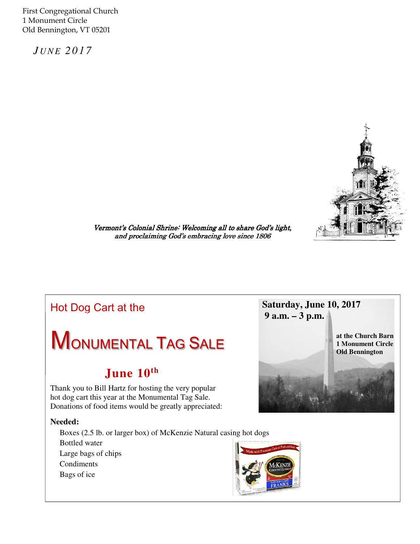First Congregational Church 1 Monument Circle Old Bennington, VT 05201

 *J U N E 2 0 1 7* 



Vermont's Colonial Shrine: Welcoming all to share God's light, and proclaiming God's embracing love since 1806

## Hot Dog Cart at the

# **MONUMENTAL TAG SALE**

## **June 10th**

Thank you to Bill Hartz for hosting the very popular hot dog cart this year at the Monumental Tag Sale. Donations of food items would be greatly appreciated:

#### **Needed:**

Boxes (2.5 lb. or larger box) of McKenzie Natural casing hot dogs Bottled water Large bags of chips Condiments Bags of ice



**Saturday, June 10, 2017** 

 **9 a.m. – 3 p.m.**

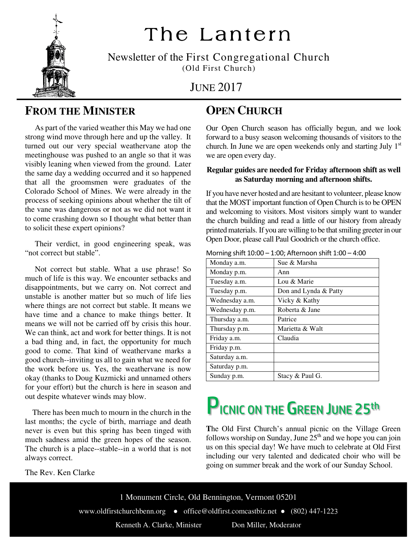

## The Lantern

Newsletter of the First Congregational Church (Old First Church)

JUNE 2017

## **FROM THE MINISTER**

 As part of the varied weather this May we had one strong wind move through here and up the valley. It turned out our very special weathervane atop the meetinghouse was pushed to an angle so that it was visibly leaning when viewed from the ground. Later the same day a wedding occurred and it so happened that all the groomsmen were graduates of the Colorado School of Mines. We were already in the process of seeking opinions about whether the tilt of the vane was dangerous or not as we did not want it to come crashing down so I thought what better than to solicit these expert opinions?

 Their verdict, in good engineering speak, was "not correct but stable".

 Not correct but stable. What a use phrase! So much of life is this way. We encounter setbacks and disappointments, but we carry on. Not correct and unstable is another matter but so much of life lies where things are not correct but stable. It means we have time and a chance to make things better. It means we will not be carried off by crisis this hour. We can think, act and work for better things. It is not a bad thing and, in fact, the opportunity for much good to come. That kind of weathervane marks a good church--inviting us all to gain what we need for the work before us. Yes, the weathervane is now okay (thanks to Doug Kuzmicki and unnamed others for your effort) but the church is here in season and out despite whatever winds may blow.

 There has been much to mourn in the church in the last months; the cycle of birth, marriage and death never is even but this spring has been tinged with much sadness amid the green hopes of the season. The church is a place--stable--in a world that is not always correct.

The Rev. Ken Clarke

## **OPEN CHURCH**

Our Open Church season has officially begun, and we look forward to a busy season welcoming thousands of visitors to the church. In June we are open weekends only and starting July  $1<sup>st</sup>$ we are open every day.

#### **Regular guides are needed for Friday afternoon shift as well as Saturday morning and afternoon shifts.**

If you have never hosted and are hesitant to volunteer, please know that the MOST important function of Open Church is to be OPEN and welcoming to visitors. Most visitors simply want to wander the church building and read a little of our history from already printed materials. If you are willing to be that smiling greeter in our Open Door, please call Paul Goodrich or the church office.

| Monday a.m.    | Sue & Marsha          |
|----------------|-----------------------|
| Monday p.m.    | Ann                   |
| Tuesday a.m.   | Lou & Marie           |
| Tuesday p.m.   | Don and Lynda & Patty |
| Wednesday a.m. | Vicky & Kathy         |
| Wednesday p.m. | Roberta & Jane        |
| Thursday a.m.  | Patrice               |
| Thursday p.m.  | Marietta & Walt       |
| Friday a.m.    | Claudia               |
| Friday p.m.    |                       |
| Saturday a.m.  |                       |
| Saturday p.m.  |                       |
| Sunday p.m.    | Stacy & Paul G.       |

Morning shift 10:00 – 1:00; Afternoon shift 1:00 – 4:00

## **PICNIC ON THE GREEN JUNE 25th**

**T**he Old First Church's annual picnic on the Village Green follows worship on Sunday, June  $25<sup>th</sup>$  and we hope you can join us on this special day! We have much to celebrate at Old First including our very talented and dedicated choir who will be going on summer break and the work of our Sunday School.

1 Monument Circle, Old Bennington, Vermont 05201 www.oldfirstchurchbenn.org ● office@oldfirst.comcastbiz.net ● (802) 447-1223 Kenneth A. Clarke, Minister Don Miller, Moderator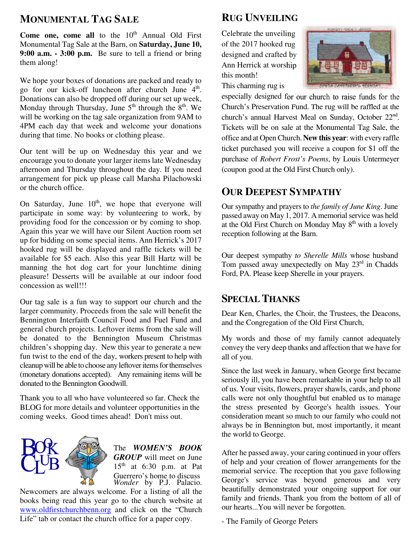### **MONUMENTAL TAG SALE**

 them along! **Come one, come all** to the  $10<sup>th</sup>$  Annual Old First Monumental Tag Sale at the Barn, on **Saturday, June 10, 9:00 a.m. - 3:00 p.m.** Be sure to tell a friend or bring

We hope your boxes of donations are packed and ready to go for our kick-off luncheon after church June 4<sup>th</sup>. Donations can also be dropped off during our set up week, Monday through Thursday, June  $5<sup>th</sup>$  through the  $8<sup>th</sup>$ . We will be working on the tag sale organization from 9AM to 4PM each day that week and welcome your donations during that time. No books or clothing please.

Our tent will be up on Wednesday this year and we encourage you to donate your larger items late Wednesday afternoon and Thursday throughout the day. If you need arrangement for pick up please call Marsha Pilachowski or the church office.

On Saturday, June  $10<sup>th</sup>$ , we hope that everyone will participate in some way: by volunteering to work, by providing food for the concession or by coming to shop. Again this year we will have our Silent Auction room set up for bidding on some special items. Ann Herrick's 2017 hooked rug will be displayed and raffle tickets will be available for \$5 each. Also this year Bill Hartz will be manning the hot dog cart for your lunchtime dining pleasure! Desserts will be available at our indoor food concession as well!!!

Our tag sale is a fun way to support our church and the larger community. Proceeds from the sale will benefit the Bennington Interfaith Council Food and Fuel Fund and general church projects. Leftover items from the sale will be donated to the Bennington Museum Christmas children's shopping day. New this year to generate a new fun twist to the end of the day, workers present to help with cleanup will be able to choose any leftover items for themselves (monetary donations accepted). Any remaining items will be donated to the Bennington Goodwill.

Thank you to all who have volunteered so far. Check the BLOG for more details and volunteer opportunities in the coming weeks. Good times ahead! Don't miss out.



*Wonder* by P.J. Palacio. The *WOMEN'S BOOK GROUP* will meet on June  $15<sup>th</sup>$  at 6:30 p.m. at Pat Guerrero's home to discuss

Newcomers are always welcome. For a listing of all the books being read this year go to the church website at www.oldfirstchurchbenn.org and click on the "Church Life" tab or contact the church office for a paper copy.

### **RUG UNVEILING**

Celebrate the unveiling of the 2017 hooked rug designed and crafted by Ann Herrick at worship this month!



This charming rug is

especially designed for our church to raise funds for the Church's Preservation Fund. The rug will be raffled at the church's annual Harvest Meal on Sunday, October 22<sup>nd</sup>. Tickets will be on sale at the Monumental Tag Sale, the office and at Open Church.**New this year**: with every raffle ticket purchased you will receive a coupon for \$1 off the purchase of *Robert Frost's Poems*, by Louis Untermeyer (coupon good at the Old First Church only).

## **OUR DEEPEST SYMPATHY**

Our sympathy and prayers to *the family of June King*. June passed away on May 1, 2017. A memorial service was held at the Old First Church on Monday May  $8<sup>th</sup>$  with a lovely reception following at the Barn.

Our deepest sympathy *to Sherelle Mills* whose husband Tom passed away unexpectedly on May  $23<sup>rd</sup>$  in Chadds Ford, PA. Please keep Sherelle in your prayers.

### **SPECIAL THANKS**

Dear Ken, Charles, the Choir, the Trustees, the Deacons, and the Congregation of the Old First Church,

My words and those of my family cannot adequately convey the very deep thanks and affection that we have for all of you.

Since the last week in January, when George first became seriously ill, you have been remarkable in your help to all of us. Your visits, flowers, prayer shawls, cards, and phone calls were not only thoughtful but enabled us to manage the stress presented by George's health issues. Your consideration meant so much to our family who could not always be in Bennington but, most importantly, it meant the world to George.

After he passed away, your caring continued in your offers of help and your creation of flower arrangements for the memorial service. The reception that you gave following George's service was beyond generous and very beautifully demonstrated your ongoing support for our family and friends. Thank you from the bottom of all of our hearts...You will never be forgotten.

- The Family of George Peters